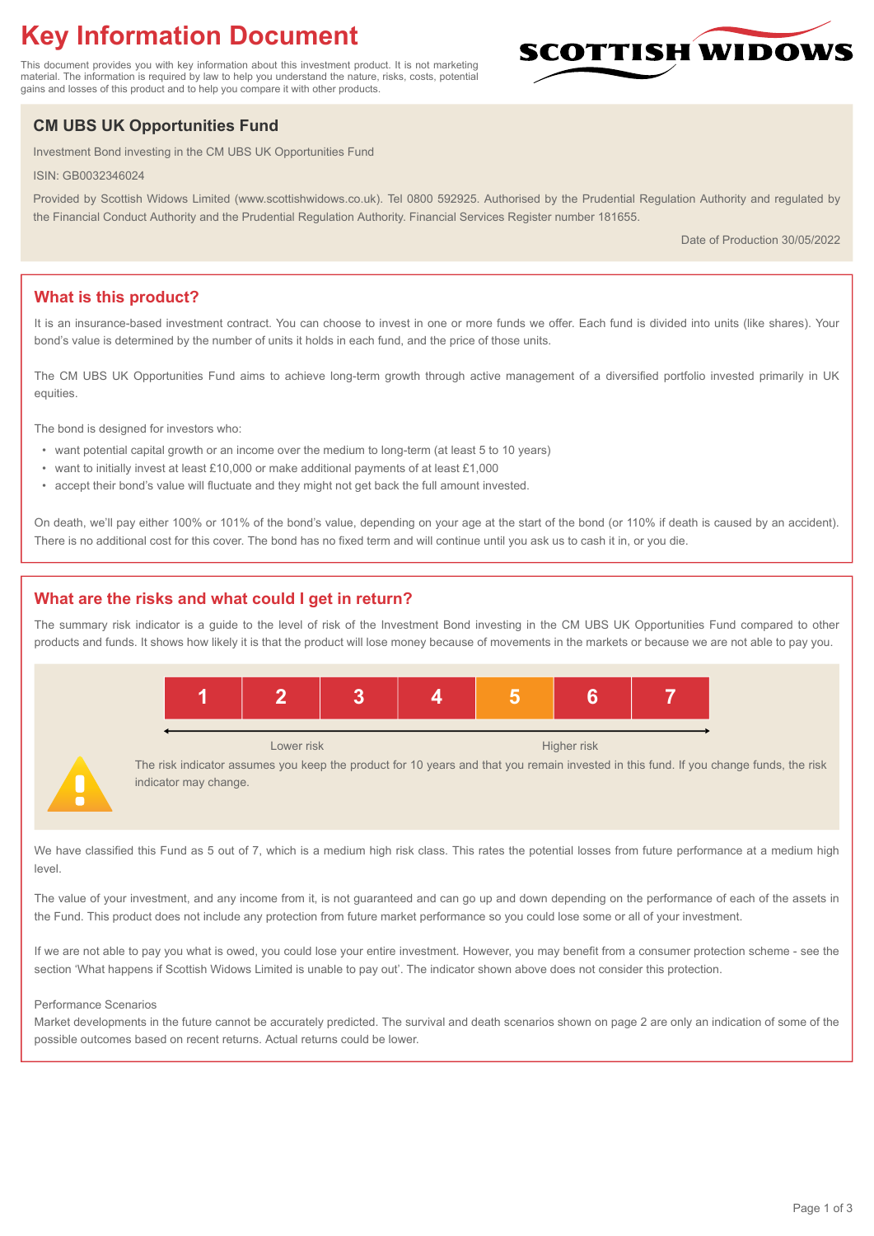# **Key Information Document**

This document provides you with key information about this investment product. It is not marketing material. The information is required by law to help you understand the nature, risks, costs, potential gains and losses of this product and to help you compare it with other products.

## **CM UBS UK Opportunities Fund**

Investment Bond investing in the CM UBS UK Opportunities Fund

ISIN: GB0032346024

Provided by Scottish Widows Limited (www.scottishwidows.co.uk). Tel 0800 592925. Authorised by the Prudential Regulation Authority and regulated by the Financial Conduct Authority and the Prudential Regulation Authority. Financial Services Register number 181655.

Date of Production 30/05/2022

**SCOTTISH WIDOW** 

## **What is this product?**

It is an insurance-based investment contract. You can choose to invest in one or more funds we offer. Each fund is divided into units (like shares). Your bond's value is determined by the number of units it holds in each fund, and the price of those units.

The CM UBS UK Opportunities Fund aims to achieve long-term growth through active management of a diversified portfolio invested primarily in UK equities.

The bond is designed for investors who:

- want potential capital growth or an income over the medium to long-term (at least 5 to 10 years)
- want to initially invest at least £10,000 or make additional payments of at least £1,000
- accept their bond's value will fluctuate and they might not get back the full amount invested.

On death, we'll pay either 100% or 101% of the bond's value, depending on your age at the start of the bond (or 110% if death is caused by an accident). There is no additional cost for this cover. The bond has no fixed term and will continue until you ask us to cash it in, or you die.

## **What are the risks and what could I get in return?**

The summary risk indicator is a guide to the level of risk of the Investment Bond investing in the CM UBS UK Opportunities Fund compared to other products and funds. It shows how likely it is that the product will lose money because of movements in the markets or because we are not able to pay you.



We have classified this Fund as 5 out of 7, which is a medium high risk class. This rates the potential losses from future performance at a medium high level

The value of your investment, and any income from it, is not guaranteed and can go up and down depending on the performance of each of the assets in the Fund. This product does not include any protection from future market performance so you could lose some or all of your investment.

If we are not able to pay you what is owed, you could lose your entire investment. However, you may benefit from a consumer protection scheme - see the section 'What happens if Scottish Widows Limited is unable to pay out'. The indicator shown above does not consider this protection.

#### Performance Scenarios

Market developments in the future cannot be accurately predicted. The survival and death scenarios shown on page 2 are only an indication of some of the possible outcomes based on recent returns. Actual returns could be lower.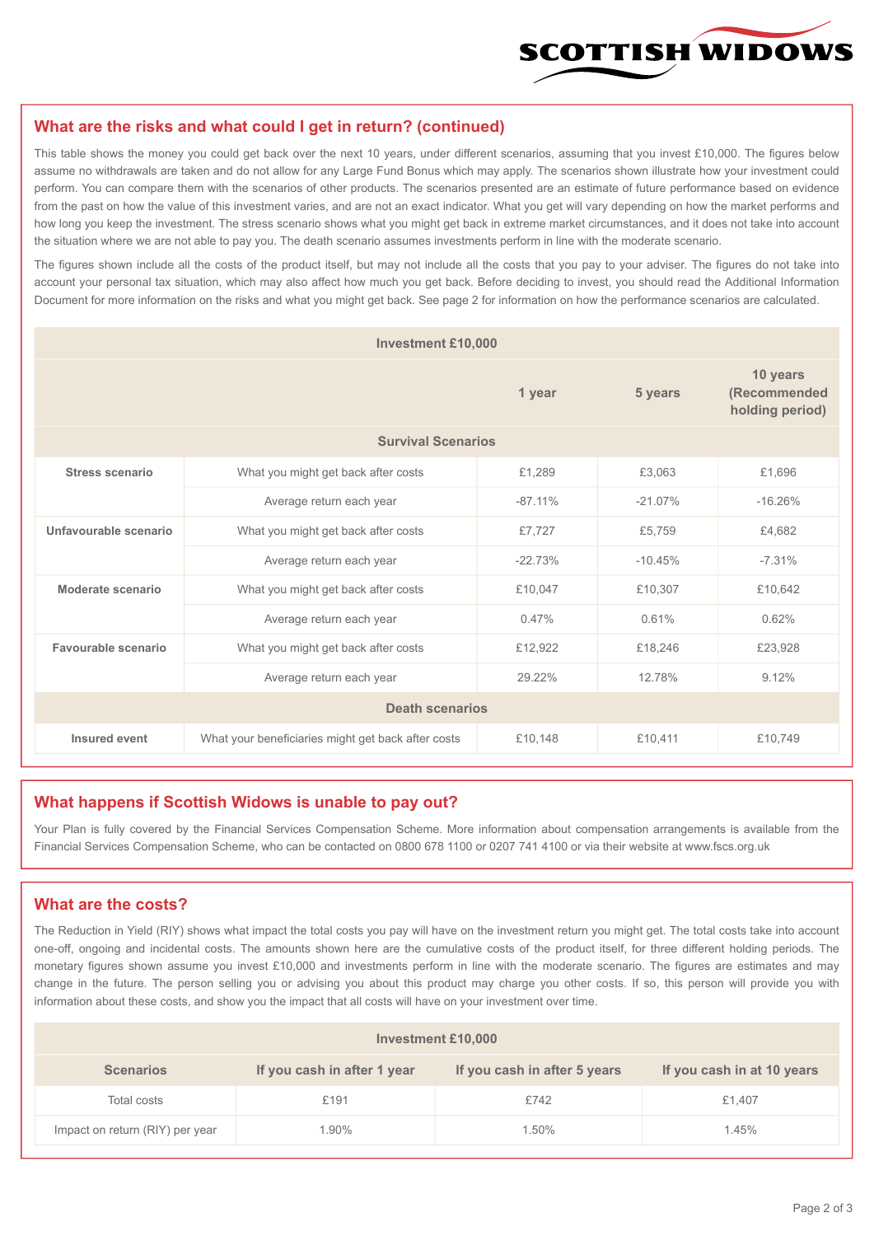

#### **What are the risks and what could I get in return? (continued)**

This table shows the money you could get back over the next 10 years, under different scenarios, assuming that you invest £10,000. The figures below assume no withdrawals are taken and do not allow for any Large Fund Bonus which may apply. The scenarios shown illustrate how your investment could perform. You can compare them with the scenarios of other products. The scenarios presented are an estimate of future performance based on evidence from the past on how the value of this investment varies, and are not an exact indicator. What you get will vary depending on how the market performs and how long you keep the investment. The stress scenario shows what you might get back in extreme market circumstances, and it does not take into account the situation where we are not able to pay you. The death scenario assumes investments perform in line with the moderate scenario.

The figures shown include all the costs of the product itself, but may not include all the costs that you pay to your adviser. The figures do not take into account your personal tax situation, which may also affect how much you get back. Before deciding to invest, you should read the Additional Information Document for more information on the risks and what you might get back. See page 2 for information on how the performance scenarios are calculated.

| <b>Investment £10,000</b> |                                                    |           |                                             |           |  |  |
|---------------------------|----------------------------------------------------|-----------|---------------------------------------------|-----------|--|--|
|                           |                                                    | 5 years   | 10 years<br>(Recommended<br>holding period) |           |  |  |
| <b>Survival Scenarios</b> |                                                    |           |                                             |           |  |  |
| <b>Stress scenario</b>    | What you might get back after costs                | £1,289    | £3.063                                      | £1,696    |  |  |
|                           | Average return each year<br>$-87.11%$              |           | $-21.07%$                                   | $-16.26%$ |  |  |
| Unfavourable scenario     | What you might get back after costs<br>£7,727      |           | £5,759                                      | £4,682    |  |  |
|                           | Average return each year                           | $-22.73%$ | $-10.45%$                                   | $-7.31%$  |  |  |
| Moderate scenario         | What you might get back after costs                | £10,047   | £10,307                                     | £10,642   |  |  |
|                           | Average return each year                           | 0.47%     | 0.61%                                       | 0.62%     |  |  |
| Favourable scenario       | What you might get back after costs                | £12,922   | £18,246                                     | £23,928   |  |  |
| Average return each year  |                                                    | 29.22%    | 12.78%                                      | 9.12%     |  |  |
| <b>Death scenarios</b>    |                                                    |           |                                             |           |  |  |
| Insured event             | What your beneficiaries might get back after costs | £10,148   | £10,411                                     | £10,749   |  |  |

#### **What happens if Scottish Widows is unable to pay out?**

Your Plan is fully covered by the Financial Services Compensation Scheme. More information about compensation arrangements is available from the Financial Services Compensation Scheme, who can be contacted on 0800 678 1100 or 0207 741 4100 or via their website at www.fscs.org.uk

#### **What are the costs?**

The Reduction in Yield (RIY) shows what impact the total costs you pay will have on the investment return you might get. The total costs take into account one-off, ongoing and incidental costs. The amounts shown here are the cumulative costs of the product itself, for three different holding periods. The monetary figures shown assume you invest £10,000 and investments perform in line with the moderate scenario. The figures are estimates and may change in the future. The person selling you or advising you about this product may charge you other costs. If so, this person will provide you with information about these costs, and show you the impact that all costs will have on your investment over time.

| <b>Investment £10,000</b>       |                             |                              |                            |  |  |  |
|---------------------------------|-----------------------------|------------------------------|----------------------------|--|--|--|
| <b>Scenarios</b>                | If you cash in after 1 year | If you cash in after 5 years | If you cash in at 10 years |  |  |  |
| Total costs                     | £191                        | £742                         | £1,407                     |  |  |  |
| Impact on return (RIY) per year | 1.90%                       | 1.50%                        | 1.45%                      |  |  |  |